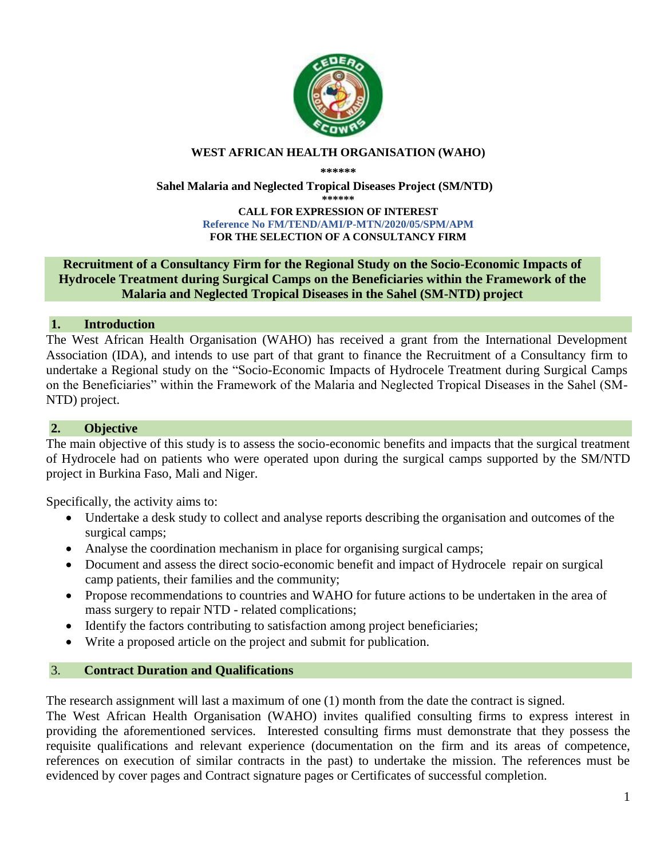

#### **WEST AFRICAN HEALTH ORGANISATION (WAHO)**

**\*\*\*\*\*\***

**Sahel Malaria and Neglected Tropical Diseases Project (SM/NTD)**

**\*\*\*\*\*\***

#### **CALL FOR EXPRESSION OF INTEREST Reference No FM/TEND/AMI/P-MTN/2020/05/SPM/APM FOR THE SELECTION OF A CONSULTANCY FIRM**

#### **Recruitment of a Consultancy Firm for the Regional Study on the Socio-Economic Impacts of Hydrocele Treatment during Surgical Camps on the Beneficiaries within the Framework of the Malaria and Neglected Tropical Diseases in the Sahel (SM-NTD) project**

## **1. Introduction**

The West African Health Organisation (WAHO) has received a grant from the International Development Association (IDA), and intends to use part of that grant to finance the Recruitment of a Consultancy firm to undertake a Regional study on the "Socio-Economic Impacts of Hydrocele Treatment during Surgical Camps on the Beneficiaries" within the Framework of the Malaria and Neglected Tropical Diseases in the Sahel (SM-NTD) project.

## **2. Objective**

The main objective of this study is to assess the socio-economic benefits and impacts that the surgical treatment of Hydrocele had on patients who were operated upon during the surgical camps supported by the SM/NTD project in Burkina Faso, Mali and Niger.

Specifically, the activity aims to:

- Undertake a desk study to collect and analyse reports describing the organisation and outcomes of the surgical camps;
- Analyse the coordination mechanism in place for organising surgical camps;
- Document and assess the direct socio-economic benefit and impact of Hydrocele repair on surgical camp patients, their families and the community;
- Propose recommendations to countries and WAHO for future actions to be undertaken in the area of mass surgery to repair NTD - related complications;
- Identify the factors contributing to satisfaction among project beneficiaries;
- Write a proposed article on the project and submit for publication.

# 3. **Contract Duration and Qualifications**

The research assignment will last a maximum of one (1) month from the date the contract is signed.

The West African Health Organisation (WAHO) invites qualified consulting firms to express interest in providing the aforementioned services. Interested consulting firms must demonstrate that they possess the requisite qualifications and relevant experience (documentation on the firm and its areas of competence, references on execution of similar contracts in the past) to undertake the mission. The references must be evidenced by cover pages and Contract signature pages or Certificates of successful completion.